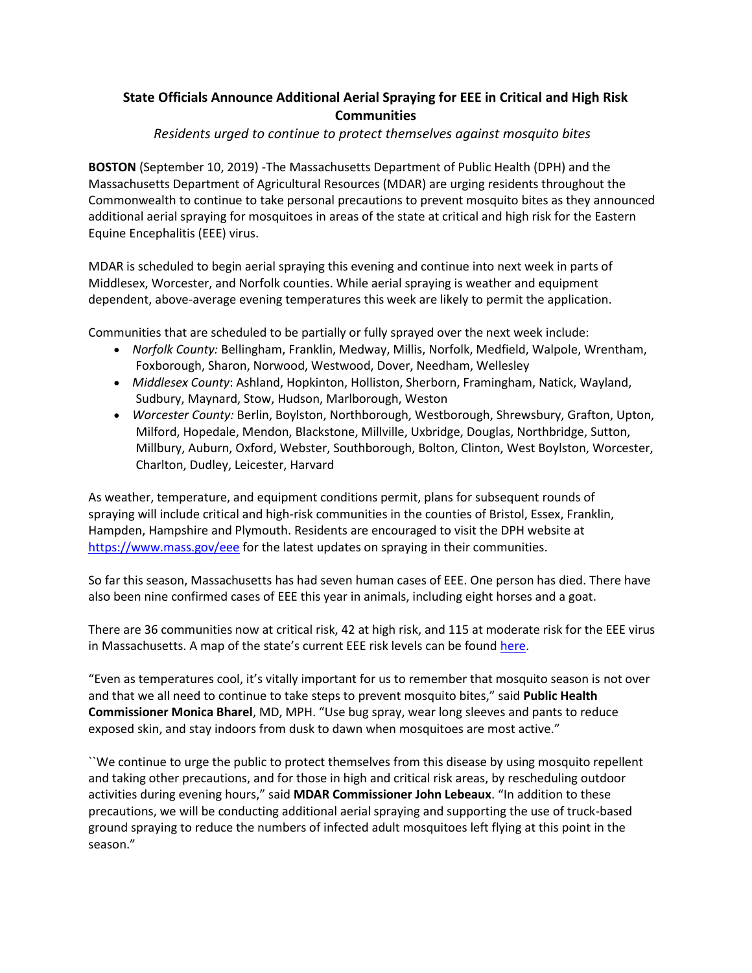# **State Officials Announce Additional Aerial Spraying for EEE in Critical and High Risk Communities**

## *Residents urged to continue to protect themselves against mosquito bites*

**BOSTON** (September 10, 2019) -The Massachusetts Department of Public Health (DPH) and the Massachusetts Department of Agricultural Resources (MDAR) are urging residents throughout the Commonwealth to continue to take personal precautions to prevent mosquito bites as they announced additional aerial spraying for mosquitoes in areas of the state at critical and high risk for the Eastern Equine Encephalitis (EEE) virus.

MDAR is scheduled to begin aerial spraying this evening and continue into next week in parts of Middlesex, Worcester, and Norfolk counties. While aerial spraying is weather and equipment dependent, above-average evening temperatures this week are likely to permit the application.

Communities that are scheduled to be partially or fully sprayed over the next week include:

- *Norfolk County:* Bellingham, Franklin, Medway, Millis, Norfolk, Medfield, Walpole, Wrentham, Foxborough, Sharon, Norwood, Westwood, Dover, Needham, Wellesley
- *Middlesex County*: Ashland, Hopkinton, Holliston, Sherborn, Framingham, Natick, Wayland, Sudbury, Maynard, Stow, Hudson, Marlborough, Weston
- *Worcester County:* Berlin, Boylston, Northborough, Westborough, Shrewsbury, Grafton, Upton, Milford, Hopedale, Mendon, Blackstone, Millville, Uxbridge, Douglas, Northbridge, Sutton, Millbury, Auburn, Oxford, Webster, Southborough, Bolton, Clinton, West Boylston, Worcester, Charlton, Dudley, Leicester, Harvard

As weather, temperature, and equipment conditions permit, plans for subsequent rounds of spraying will include critical and high-risk communities in the counties of Bristol, Essex, Franklin, Hampden, Hampshire and Plymouth. Residents are encouraged to visit the DPH website at [https://www.mass.gov/eee](https://urldefense.proofpoint.com/v2/url?u=https-3A__www.mass.gov_eee&d=DwMFAg&c=euGZstcaTDllvimEN8b7jXrwqOf-v5A_CdpgnVfiiMM&r=ojazk91tgiorPPK2dLoR7ZO4x6O9YCCc0EuTvYX8O3s&m=10-oUzqGlS4024Z47gzrsNat4hjqltKD2Ex6Oi2sQN4&s=mSHOJ2olfgdpN07ZqdU4Ol6wqt4Zbpv2QjzowE8R4uA&e=) for the latest updates on spraying in their communities.

So far this season, Massachusetts has had seven human cases of EEE. One person has died. There have also been nine confirmed cases of EEE this year in animals, including eight horses and a goat.

There are 36 communities now at critical risk, 42 at high risk, and 115 at moderate risk for the EEE virus in Massachusetts. A map of the state's current EEE risk levels can be found [here.](https://urldefense.proofpoint.com/v2/url?u=http-3A__www.mosquitoresults.com_&d=DwMFAg&c=euGZstcaTDllvimEN8b7jXrwqOf-v5A_CdpgnVfiiMM&r=ojazk91tgiorPPK2dLoR7ZO4x6O9YCCc0EuTvYX8O3s&m=10-oUzqGlS4024Z47gzrsNat4hjqltKD2Ex6Oi2sQN4&s=C68IYIdDNmqHT1Eqxtf0-e5oY7Uw9_3mvH7uaNqVCFM&e=)

"Even as temperatures cool, it's vitally important for us to remember that mosquito season is not over and that we all need to continue to take steps to prevent mosquito bites," said **Public Health Commissioner Monica Bharel**, MD, MPH. "Use bug spray, wear long sleeves and pants to reduce exposed skin, and stay indoors from dusk to dawn when mosquitoes are most active."

``We continue to urge the public to protect themselves from this disease by using mosquito repellent and taking other precautions, and for those in high and critical risk areas, by rescheduling outdoor activities during evening hours," said **MDAR Commissioner John Lebeaux**. "In addition to these precautions, we will be conducting additional aerial spraying and supporting the use of truck-based ground spraying to reduce the numbers of infected adult mosquitoes left flying at this point in the season."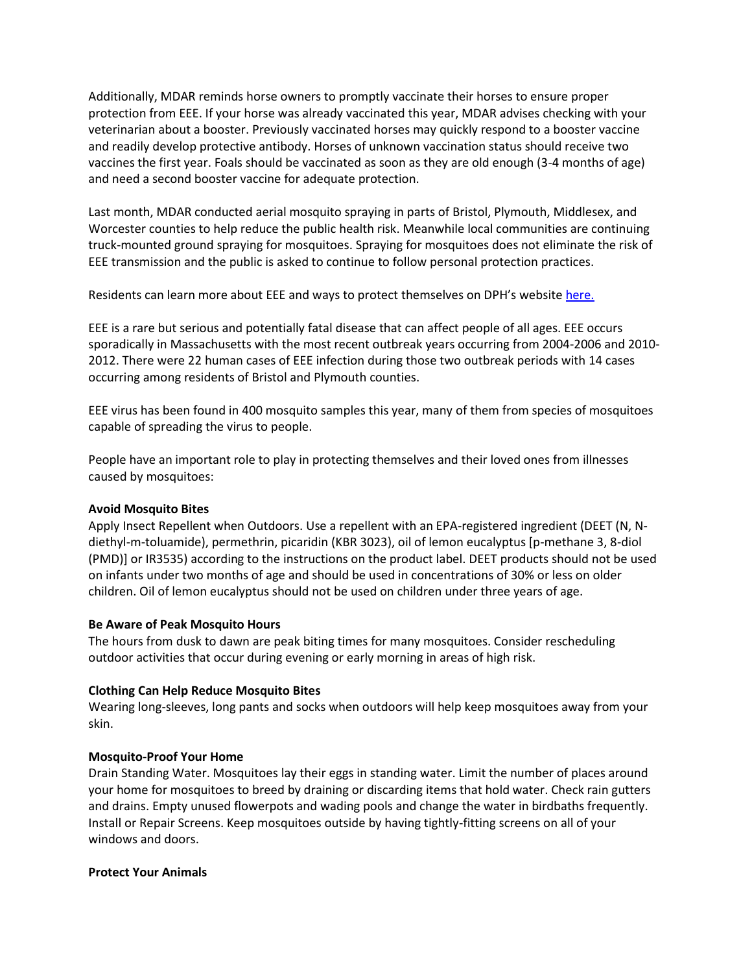Additionally, MDAR reminds horse owners to promptly vaccinate their horses to ensure proper protection from EEE. If your horse was already vaccinated this year, MDAR advises checking with your veterinarian about a booster. Previously vaccinated horses may quickly respond to a booster vaccine and readily develop protective antibody. Horses of unknown vaccination status should receive two vaccines the first year. Foals should be vaccinated as soon as they are old enough (3-4 months of age) and need a second booster vaccine for adequate protection.

Last month, MDAR conducted aerial mosquito spraying in parts of Bristol, Plymouth, Middlesex, and Worcester counties to help reduce the public health risk. Meanwhile local communities are continuing truck-mounted ground spraying for mosquitoes. Spraying for mosquitoes does not eliminate the risk of EEE transmission and the public is asked to continue to follow personal protection practices.

Residents can learn more about EEE and ways to protect themselves on DPH's website [here.](https://urldefense.proofpoint.com/v2/url?u=https-3A__www.mass.gov_mosquito-2Dborne-2Ddiseases&d=DwMFAg&c=euGZstcaTDllvimEN8b7jXrwqOf-v5A_CdpgnVfiiMM&r=ojazk91tgiorPPK2dLoR7ZO4x6O9YCCc0EuTvYX8O3s&m=10-oUzqGlS4024Z47gzrsNat4hjqltKD2Ex6Oi2sQN4&s=qZs4CUuhBlqQQ5exXD8h0FLwYZ1Z678jMJn-AgioD7s&e=)

EEE is a rare but serious and potentially fatal disease that can affect people of all ages. EEE occurs sporadically in Massachusetts with the most recent outbreak years occurring from 2004-2006 and 2010- 2012. There were 22 human cases of EEE infection during those two outbreak periods with 14 cases occurring among residents of Bristol and Plymouth counties.

EEE virus has been found in 400 mosquito samples this year, many of them from species of mosquitoes capable of spreading the virus to people.

People have an important role to play in protecting themselves and their loved ones from illnesses caused by mosquitoes:

### **Avoid Mosquito Bites**

Apply Insect Repellent when Outdoors. Use a repellent with an EPA-registered ingredient (DEET (N, Ndiethyl-m-toluamide), permethrin, picaridin (KBR 3023), oil of lemon eucalyptus [p-methane 3, 8-diol (PMD)] or IR3535) according to the instructions on the product label. DEET products should not be used on infants under two months of age and should be used in concentrations of 30% or less on older children. Oil of lemon eucalyptus should not be used on children under three years of age.

### **Be Aware of Peak Mosquito Hours**

The hours from dusk to dawn are peak biting times for many mosquitoes. Consider rescheduling outdoor activities that occur during evening or early morning in areas of high risk.

### **Clothing Can Help Reduce Mosquito Bites**

Wearing long-sleeves, long pants and socks when outdoors will help keep mosquitoes away from your skin.

### **Mosquito-Proof Your Home**

Drain Standing Water. Mosquitoes lay their eggs in standing water. Limit the number of places around your home for mosquitoes to breed by draining or discarding items that hold water. Check rain gutters and drains. Empty unused flowerpots and wading pools and change the water in birdbaths frequently. Install or Repair Screens. Keep mosquitoes outside by having tightly-fitting screens on all of your windows and doors.

### **Protect Your Animals**